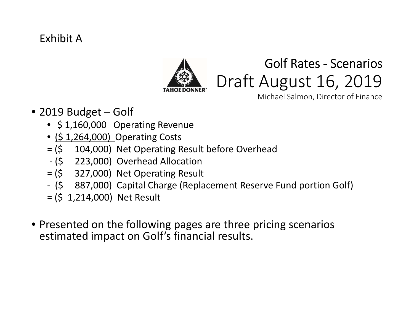### Exhibit A



# Golf Rates ‐ Scenarios Draft August 16, 2019

Michael Salmon, Director of Finance

- 2019 Budget Golf
	- \$ 1,160,000 Operating Revenue
	- (\$ 1,264,000) Operating Costs
	- = (\$ 104,000) Net Operating Result before Overhead
	- ‐ (\$ 223,000) Overhead Allocation
	- = (\$ 327,000) Net Operating Result
	- ‐ (\$ 887,000) Capital Charge (Replacement Reserve Fund portion Golf)
	- = (\$ 1,214,000) Net Result
- Presented on the following pages are three pricing scenarios estimated impact on Golf's financial results.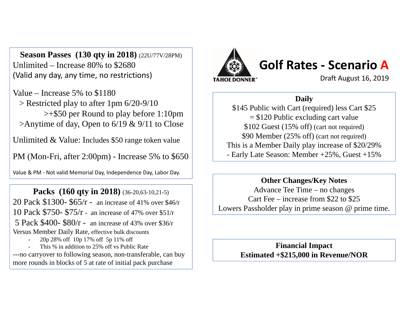**Season Passes (130 qty in 2018)** (22U/77V/28PM) Unlimited – Increase 80% to \$2680 (Valid any day, any time, no restrictions)

Value – Increase 5% to \$1180 > Restricted play to after 1pm 6/20-9/10 >+\$50 per Round to play before 1:10pm >Anytime of day, Open to 6/19 & 9/11 to Close

Unlimited & Value: Includes \$50 range token value

PM (Mon-Fri, after 2:00pm) - Increase 5% to \$650

Value & PM ‐ Not valid Memorial Day, Independence Day, Labor Day.

**Packs (160 qty in 2018)** (36-20,63-10,21-5) 20 Pack \$1300- \$65/r - an increase of 41% over \$46/r 10 Pack \$750- \$75/r - an increase of 47% over \$51/r 5 Pack \$400- \$80/r - an increase of 43% over \$36/r Versus Member Daily Rate, effective bulk discounts 20p 28% off 10p 17% off 5p 11% off

- This % in addition to 25% off vs Public Rate---no carryover to following season, non-transferable, can buy more rounds in blocks of 5 at rate of initial pack purchase



### **Golf Rates ‐ Scenario A**

Draft August 16, 2019

### **Daily**

\$145 Public with Cart (required) less Cart \$25 = \$120 Public excluding cart value \$102 Guest (15% off) (cart not required) \$90 Member (25% off) (cart not required) This is a Member Daily play increase of \$20/29% - Early Late Season: Member +25%, Guest +15%

#### **Other Changes/Key Notes**

Advance Tee Time – no changes Cart Fee – increase from \$22 to \$25 Lowers Passholder play in prime season @ prime time.

> **Financial Impact Estimated +\$215,000 in Revenue/NOR**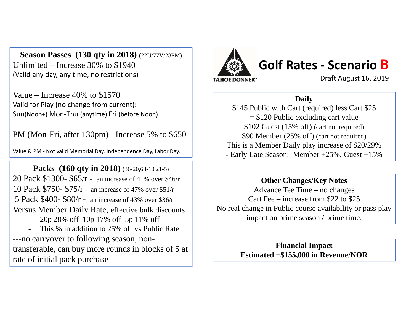**Season Passes (130 qty in 2018)** (22U/77V/28PM) Unlimited – Increase 30% to \$1940 (Valid any day, any time, no restrictions)

Value – Increase 40% to \$1570 Valid for Play (no change from current): Sun(Noon+) Mon‐Thu (anytime) Fri (before Noon).

PM (Mon-Fri, after 130pm) - Increase 5% to \$650

Value & PM ‐ Not valid Memorial Day, Independence Day, Labor Day.

**Packs** (160 qty in 2018) (36-20,63-10,21-5) 20 Pack \$1300- \$65/r - an increase of 41% over \$46/r 10 Pack \$750- \$75/r - an increase of 47% over \$51/r 5 Pack \$400- \$80/r - an increase of 43% over \$36/r Versus Member Daily Rate, effective bulk discounts

20p 28% off 10p 17% off 5p 11% off

- This % in addition to 25% off vs Public Rate ---no carryover to following season, nontransferable, can buy more rounds in blocks of 5 at rate of initial pack purchase



## **Golf Rates ‐ Scenario B**

Draft August 16, 2019

### **Daily**

\$145 Public with Cart (required) less Cart \$25 = \$120 Public excluding cart value \$102 Guest (15% off) (cart not required) \$90 Member (25% off) (cart not required) This is a Member Daily play increase of \$20/29% - Early Late Season: Member +25%, Guest +15%

### **Other Changes/Key Notes**

Advance Tee Time – no changes Cart Fee – increase from \$22 to \$25 No real change in Public course availability or pass play impact on prime season / prime time.

> **Financial Impact Estimated +\$155,000 in Revenue/NOR**